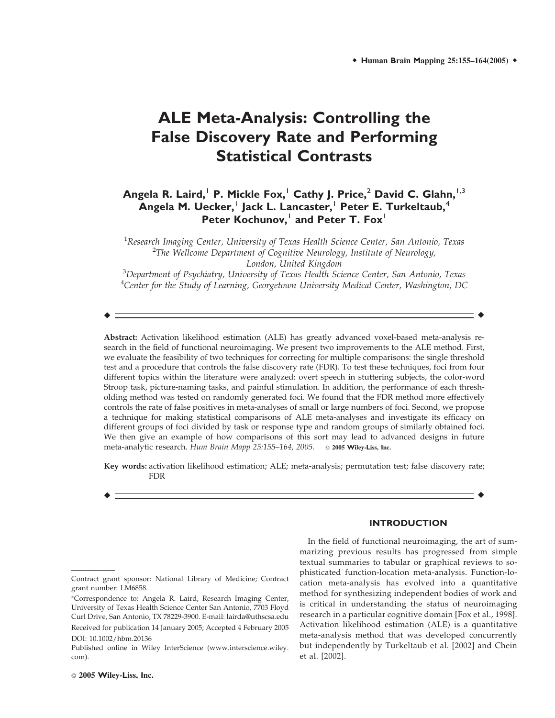# **ALE Meta-Analysis: Controlling the False Discovery Rate and Performing Statistical Contrasts**

# **Angela R. Laird,**<sup>1</sup> **P. Mickle Fox,**<sup>1</sup> **Cathy J. Price,**<sup>2</sup> **David C. Glahn,**1,3 **Angela M. Uecker,**<sup>1</sup> **Jack L. Lancaster,**<sup>1</sup> **Peter E. Turkeltaub,**<sup>4</sup> **Peter Kochunov,**<sup>1</sup> **and Peter T. Fox**<sup>1</sup>

1 *Research Imaging Center, University of Texas Health Science Center, San Antonio, Texas* <sup>2</sup> *The Wellcome Department of Cognitive Neurology, Institute of Neurology, London, United Kingdom* 3 *Department of Psychiatry, University of Texas Health Science Center, San Antonio, Texas*

4 *Center for the Study of Learning, Georgetown University Medical Center, Washington, DC*

! !

**Abstract:** Activation likelihood estimation (ALE) has greatly advanced voxel-based meta-analysis research in the field of functional neuroimaging. We present two improvements to the ALE method. First, we evaluate the feasibility of two techniques for correcting for multiple comparisons: the single threshold test and a procedure that controls the false discovery rate (FDR). To test these techniques, foci from four different topics within the literature were analyzed: overt speech in stuttering subjects, the color-word Stroop task, picture-naming tasks, and painful stimulation. In addition, the performance of each thresholding method was tested on randomly generated foci. We found that the FDR method more effectively controls the rate of false positives in meta-analyses of small or large numbers of foci. Second, we propose a technique for making statistical comparisons of ALE meta-analyses and investigate its efficacy on different groups of foci divided by task or response type and random groups of similarly obtained foci. We then give an example of how comparisons of this sort may lead to advanced designs in future meta-analytic research. *Hum Brain Mapp 25:155–164, 2005.* © **2005 Wiley-Liss, Inc.**

**Key words:** activation likelihood estimation; ALE; meta-analysis; permutation test; false discovery rate; FDR

 $\blacklozenge$  . In the contract of the contract of the contract of the contract of the contract of the contract of the contract of the contract of the contract of the contract of the contract of the contract of the contract of

# **INTRODUCTION**

In the field of functional neuroimaging, the art of summarizing previous results has progressed from simple textual summaries to tabular or graphical reviews to sophisticated function-location meta-analysis. Function-location meta-analysis has evolved into a quantitative method for synthesizing independent bodies of work and is critical in understanding the status of neuroimaging research in a particular cognitive domain [Fox et al., 1998]. Activation likelihood estimation (ALE) is a quantitative meta-analysis method that was developed concurrently but independently by Turkeltaub et al. [2002] and Chein et al. [2002].

Contract grant sponsor: National Library of Medicine; Contract grant number: LM6858.

<sup>\*</sup>Correspondence to: Angela R. Laird, Research Imaging Center, University of Texas Health Science Center San Antonio, 7703 Floyd Curl Drive, San Antonio, TX 78229-3900. E-mail: lairda@uthscsa.edu Received for publication 14 January 2005; Accepted 4 February 2005 DOI: 10.1002/hbm.20136

Published online in Wiley InterScience (www.interscience.wiley. com).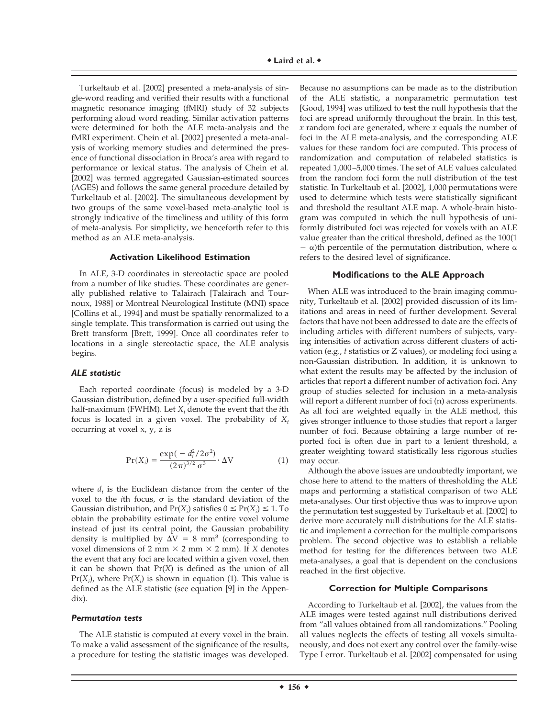Turkeltaub et al. [2002] presented a meta-analysis of single-word reading and verified their results with a functional magnetic resonance imaging (fMRI) study of 32 subjects performing aloud word reading. Similar activation patterns were determined for both the ALE meta-analysis and the fMRI experiment. Chein et al. [2002] presented a meta-analysis of working memory studies and determined the presence of functional dissociation in Broca's area with regard to performance or lexical status. The analysis of Chein et al. [2002] was termed aggregated Gaussian-estimated sources (AGES) and follows the same general procedure detailed by Turkeltaub et al. [2002]. The simultaneous development by two groups of the same voxel-based meta-analytic tool is strongly indicative of the timeliness and utility of this form of meta-analysis. For simplicity, we henceforth refer to this method as an ALE meta-analysis.

#### **Activation Likelihood Estimation**

In ALE, 3-D coordinates in stereotactic space are pooled from a number of like studies. These coordinates are generally published relative to Talairach [Talairach and Tournoux, 1988] or Montreal Neurological Institute (MNI) space [Collins et al., 1994] and must be spatially renormalized to a single template. This transformation is carried out using the Brett transform [Brett, 1999]. Once all coordinates refer to locations in a single stereotactic space, the ALE analysis begins.

#### *ALE statistic*

Each reported coordinate (focus) is modeled by a 3-D Gaussian distribution, defined by a user-specified full-width half-maximum (FWHM). Let *Xi* denote the event that the *i*th focus is located in a given voxel. The probability of *Xi* occurring at voxel x, y, z is

$$
Pr(X_i) = \frac{\exp(-d_i^2/2\sigma^2)}{(2\pi)^{3/2} \sigma^3} \cdot \Delta V
$$
 (1)

where  $d_i$  is the Euclidean distance from the center of the voxel to the *i*th focus,  $\sigma$  is the standard deviation of the Gaussian distribution, and  $Pr(X_i)$  satisfies  $0 \leq Pr(X_i) \leq 1$ . To obtain the probability estimate for the entire voxel volume instead of just its central point, the Gaussian probability density is multiplied by  $\Delta V = 8$  mm<sup>3</sup> (corresponding to voxel dimensions of 2 mm  $\times$  2 mm  $\times$  2 mm). If *X* denotes the event that any foci are located within a given voxel, then it can be shown that Pr(*X*) is defined as the union of all  $Pr(X_i)$ , where  $Pr(X_i)$  is shown in equation (1). This value is defined as the ALE statistic (see equation [9] in the Appendix).

#### *Permutation tests*

The ALE statistic is computed at every voxel in the brain. To make a valid assessment of the significance of the results, a procedure for testing the statistic images was developed. Because no assumptions can be made as to the distribution of the ALE statistic, a nonparametric permutation test [Good, 1994] was utilized to test the null hypothesis that the foci are spread uniformly throughout the brain. In this test, *x* random foci are generated, where *x* equals the number of foci in the ALE meta-analysis, and the corresponding ALE values for these random foci are computed. This process of randomization and computation of relabeled statistics is repeated 1,000–5,000 times. The set of ALE values calculated from the random foci form the null distribution of the test statistic. In Turkeltaub et al. [2002], 1,000 permutations were used to determine which tests were statistically significant and threshold the resultant ALE map. A whole-brain histogram was computed in which the null hypothesis of uniformly distributed foci was rejected for voxels with an ALE value greater than the critical threshold, defined as the 100(1  $-\alpha$ )th percentile of the permutation distribution, where  $\alpha$ refers to the desired level of significance.

#### **Modifications to the ALE Approach**

When ALE was introduced to the brain imaging community, Turkeltaub et al. [2002] provided discussion of its limitations and areas in need of further development. Several factors that have not been addressed to date are the effects of including articles with different numbers of subjects, varying intensities of activation across different clusters of activation (e.g., *t* statistics or Z values), or modeling foci using a non-Gaussian distribution. In addition, it is unknown to what extent the results may be affected by the inclusion of articles that report a different number of activation foci. Any group of studies selected for inclusion in a meta-analysis will report a different number of foci (n) across experiments. As all foci are weighted equally in the ALE method, this gives stronger influence to those studies that report a larger number of foci. Because obtaining a large number of reported foci is often due in part to a lenient threshold, a greater weighting toward statistically less rigorous studies may occur.

Although the above issues are undoubtedly important, we chose here to attend to the matters of thresholding the ALE maps and performing a statistical comparison of two ALE meta-analyses. Our first objective thus was to improve upon the permutation test suggested by Turkeltaub et al. [2002] to derive more accurately null distributions for the ALE statistic and implement a correction for the multiple comparisons problem. The second objective was to establish a reliable method for testing for the differences between two ALE meta-analyses, a goal that is dependent on the conclusions reached in the first objective.

#### **Correction for Multiple Comparisons**

According to Turkeltaub et al. [2002], the values from the ALE images were tested against null distributions derived from "all values obtained from all randomizations." Pooling all values neglects the effects of testing all voxels simultaneously, and does not exert any control over the family-wise Type I error. Turkeltaub et al. [2002] compensated for using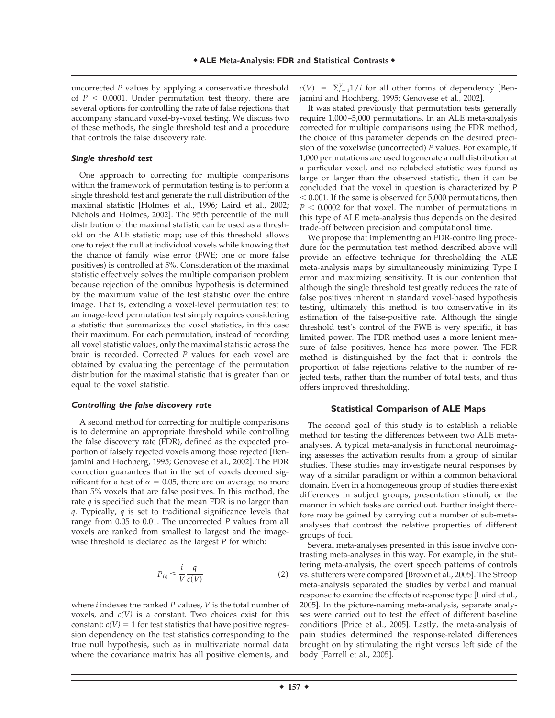uncorrected *P* values by applying a conservative threshold of  $P < 0.0001$ . Under permutation test theory, there are several options for controlling the rate of false rejections that accompany standard voxel-by-voxel testing. We discuss two of these methods, the single threshold test and a procedure that controls the false discovery rate.

#### *Single threshold test*

One approach to correcting for multiple comparisons within the framework of permutation testing is to perform a single threshold test and generate the null distribution of the maximal statistic [Holmes et al., 1996; Laird et al., 2002; Nichols and Holmes, 2002]. The 95th percentile of the null distribution of the maximal statistic can be used as a threshold on the ALE statistic map; use of this threshold allows one to reject the null at individual voxels while knowing that the chance of family wise error (FWE; one or more false positives) is controlled at 5%. Consideration of the maximal statistic effectively solves the multiple comparison problem because rejection of the omnibus hypothesis is determined by the maximum value of the test statistic over the entire image. That is, extending a voxel-level permutation test to an image-level permutation test simply requires considering a statistic that summarizes the voxel statistics, in this case their maximum. For each permutation, instead of recording all voxel statistic values, only the maximal statistic across the brain is recorded. Corrected *P* values for each voxel are obtained by evaluating the percentage of the permutation distribution for the maximal statistic that is greater than or equal to the voxel statistic.

## *Controlling the false discovery rate*

A second method for correcting for multiple comparisons is to determine an appropriate threshold while controlling the false discovery rate (FDR), defined as the expected proportion of falsely rejected voxels among those rejected [Benjamini and Hochberg, 1995; Genovese et al., 2002]. The FDR correction guarantees that in the set of voxels deemed significant for a test of  $\alpha = 0.05$ , there are on average no more than 5% voxels that are false positives. In this method, the rate *q* is specified such that the mean FDR is no larger than *q*. Typically, *q* is set to traditional significance levels that range from 0.05 to 0.01. The uncorrected *P* values from all voxels are ranked from smallest to largest and the imagewise threshold is declared as the largest *P* for which:

$$
P_{(i)} \leq \frac{i}{V} \frac{q}{c(V)} \tag{2}
$$

where *i* indexes the ranked *P* values, *V* is the total number of voxels, and  $c(V)$  is a constant. Two choices exist for this constant:  $c(V) = 1$  for test statistics that have positive regression dependency on the test statistics corresponding to the true null hypothesis, such as in multivariate normal data where the covariance matrix has all positive elements, and

 $c(V) = \sum_{i=1}^{V} 1/i$  for all other forms of dependency [Benjamini and Hochberg, 1995; Genovese et al., 2002].

It was stated previously that permutation tests generally require 1,000–5,000 permutations. In an ALE meta-analysis corrected for multiple comparisons using the FDR method, the choice of this parameter depends on the desired precision of the voxelwise (uncorrected) *P* values. For example, if 1,000 permutations are used to generate a null distribution at a particular voxel, and no relabeled statistic was found as large or larger than the observed statistic, then it can be concluded that the voxel in question is characterized by *P*  $< 0.001$ . If the same is observed for 5,000 permutations, then  $P < 0.0002$  for that voxel. The number of permutations in this type of ALE meta-analysis thus depends on the desired trade-off between precision and computational time.

We propose that implementing an FDR-controlling procedure for the permutation test method described above will provide an effective technique for thresholding the ALE meta-analysis maps by simultaneously minimizing Type I error and maximizing sensitivity. It is our contention that although the single threshold test greatly reduces the rate of false positives inherent in standard voxel-based hypothesis testing, ultimately this method is too conservative in its estimation of the false-positive rate. Although the single threshold test's control of the FWE is very specific, it has limited power. The FDR method uses a more lenient measure of false positives, hence has more power. The FDR method is distinguished by the fact that it controls the proportion of false rejections relative to the number of rejected tests, rather than the number of total tests, and thus offers improved thresholding.

#### **Statistical Comparison of ALE Maps**

The second goal of this study is to establish a reliable method for testing the differences between two ALE metaanalyses. A typical meta-analysis in functional neuroimaging assesses the activation results from a group of similar studies. These studies may investigate neural responses by way of a similar paradigm or within a common behavioral domain. Even in a homogeneous group of studies there exist differences in subject groups, presentation stimuli, or the manner in which tasks are carried out. Further insight therefore may be gained by carrying out a number of sub-metaanalyses that contrast the relative properties of different groups of foci.

Several meta-analyses presented in this issue involve contrasting meta-analyses in this way. For example, in the stuttering meta-analysis, the overt speech patterns of controls vs. stutterers were compared [Brown et al., 2005]. The Stroop meta-analysis separated the studies by verbal and manual response to examine the effects of response type [Laird et al., 2005]. In the picture-naming meta-analysis, separate analyses were carried out to test the effect of different baseline conditions [Price et al., 2005]. Lastly, the meta-analysis of pain studies determined the response-related differences brought on by stimulating the right versus left side of the body [Farrell et al., 2005].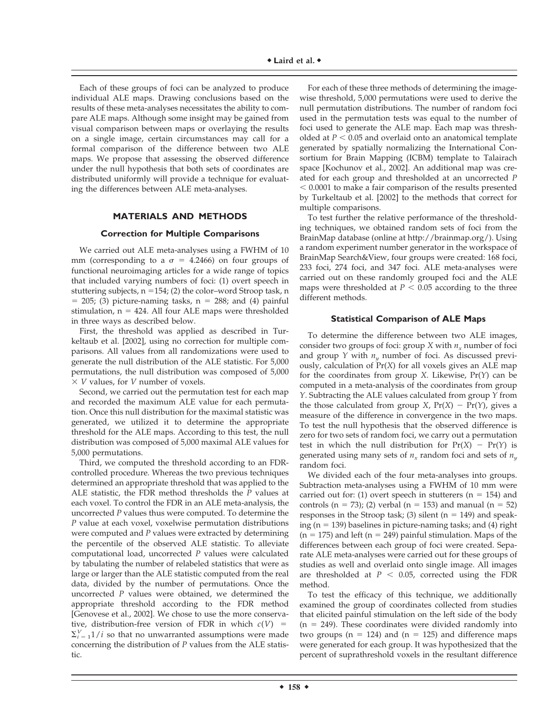Each of these groups of foci can be analyzed to produce individual ALE maps. Drawing conclusions based on the results of these meta-analyses necessitates the ability to compare ALE maps. Although some insight may be gained from visual comparison between maps or overlaying the results on a single image, certain circumstances may call for a formal comparison of the difference between two ALE maps. We propose that assessing the observed difference under the null hypothesis that both sets of coordinates are distributed uniformly will provide a technique for evaluating the differences between ALE meta-analyses.

#### **MATERIALS AND METHODS**

#### **Correction for Multiple Comparisons**

We carried out ALE meta-analyses using a FWHM of 10 mm (corresponding to a  $\sigma = 4.2466$ ) on four groups of functional neuroimaging articles for a wide range of topics that included varying numbers of foci: (1) overt speech in stuttering subjects,  $n = 154$ ; (2) the color–word Stroop task, n  $= 205$ ; (3) picture-naming tasks,  $n = 288$ ; and (4) painful stimulation,  $n = 424$ . All four ALE maps were thresholded in three ways as described below.

First, the threshold was applied as described in Turkeltaub et al. [2002], using no correction for multiple comparisons. All values from all randomizations were used to generate the null distribution of the ALE statistic. For 5,000 permutations, the null distribution was composed of 5,000 ' *V* values, for *V* number of voxels.

Second, we carried out the permutation test for each map and recorded the maximum ALE value for each permutation. Once this null distribution for the maximal statistic was generated, we utilized it to determine the appropriate threshold for the ALE maps. According to this test, the null distribution was composed of 5,000 maximal ALE values for 5,000 permutations.

Third, we computed the threshold according to an FDRcontrolled procedure. Whereas the two previous techniques determined an appropriate threshold that was applied to the ALE statistic, the FDR method thresholds the *P* values at each voxel. To control the FDR in an ALE meta-analysis, the uncorrected *P* values thus were computed. To determine the *P* value at each voxel, voxelwise permutation distributions were computed and *P* values were extracted by determining the percentile of the observed ALE statistic. To alleviate computational load, uncorrected *P* values were calculated by tabulating the number of relabeled statistics that were as large or larger than the ALE statistic computed from the real data, divided by the number of permutations. Once the uncorrected *P* values were obtained, we determined the appropriate threshold according to the FDR method [Genovese et al., 2002]. We chose to use the more conservative, distribution-free version of FDR in which  $c(V)$  =  $\sum_{i=1}^{V} 1/i$  so that no unwarranted assumptions were made concerning the distribution of *P* values from the ALE statistic.

For each of these three methods of determining the imagewise threshold, 5,000 permutations were used to derive the null permutation distributions. The number of random foci used in the permutation tests was equal to the number of foci used to generate the ALE map. Each map was thresholded at  $P < 0.05$  and overlaid onto an anatomical template generated by spatially normalizing the International Consortium for Brain Mapping (ICBM) template to Talairach space [Kochunov et al., 2002]. An additional map was created for each group and thresholded at an uncorrected *P*  $< 0.0001$  to make a fair comparison of the results presented by Turkeltaub et al. [2002] to the methods that correct for multiple comparisons.

To test further the relative performance of the thresholding techniques, we obtained random sets of foci from the BrainMap database (online at http://brainmap.org/). Using a random experiment number generator in the workspace of BrainMap Search&View, four groups were created: 168 foci, 233 foci, 274 foci, and 347 foci. ALE meta-analyses were carried out on these randomly grouped foci and the ALE maps were thresholded at  $P < 0.05$  according to the three different methods.

#### **Statistical Comparison of ALE Maps**

To determine the difference between two ALE images, consider two groups of foci: group *X* with  $n_r$  number of foci and group *Y* with  $n_y$  number of foci. As discussed previously, calculation of Pr(*X*) for all voxels gives an ALE map for the coordinates from group *X*. Likewise, Pr(*Y*) can be computed in a meta-analysis of the coordinates from group *Y*. Subtracting the ALE values calculated from group *Y* from the those calculated from group *X*,  $Pr(X) - Pr(Y)$ , gives a measure of the difference in convergence in the two maps. To test the null hypothesis that the observed difference is zero for two sets of random foci, we carry out a permutation test in which the null distribution for  $Pr(X) - Pr(Y)$  is generated using many sets of  $n_r$  random foci and sets of  $n_v$ random foci.

We divided each of the four meta-analyses into groups. Subtraction meta-analyses using a FWHM of 10 mm were carried out for: (1) overt speech in stutterers ( $n = 154$ ) and controls (n = 73); (2) verbal (n = 153) and manual (n = 52) responses in the Stroop task; (3) silent ( $n = 149$ ) and speaking ( $n = 139$ ) baselines in picture-naming tasks; and (4) right  $(n = 175)$  and left  $(n = 249)$  painful stimulation. Maps of the differences between each group of foci were created. Separate ALE meta-analyses were carried out for these groups of studies as well and overlaid onto single image. All images are thresholded at  $P < 0.05$ , corrected using the FDR method.

To test the efficacy of this technique, we additionally examined the group of coordinates collected from studies that elicited painful stimulation on the left side of the body  $(n = 249)$ . These coordinates were divided randomly into two groups ( $n = 124$ ) and ( $n = 125$ ) and difference maps were generated for each group. It was hypothesized that the percent of suprathreshold voxels in the resultant difference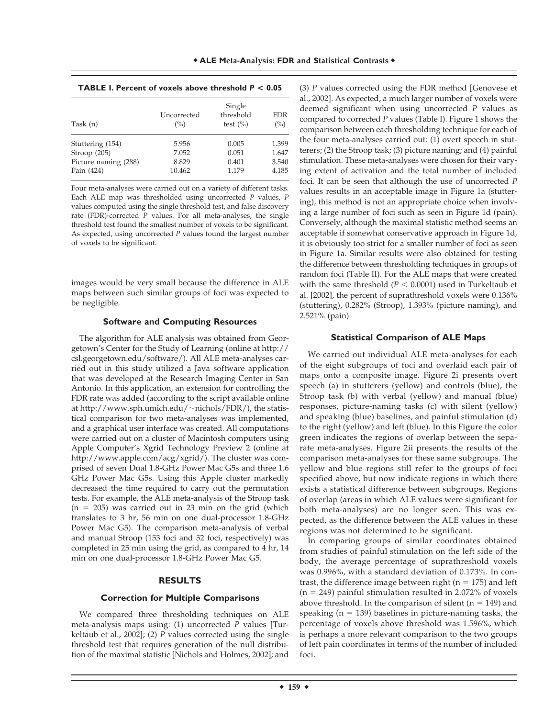**TABLE I. Percent of voxels above threshold** *P* **< 0.05**

| Task $(n)$           | Uncorrected<br>(%) | Single<br>threshold<br>test $(\% )$ | <b>FDR</b><br>(%) |
|----------------------|--------------------|-------------------------------------|-------------------|
| Stuttering (154)     | 5.956              | 0.005                               | 1.399             |
| Stroop(205)          | 7.052              | 0.051                               | 1.647             |
| Picture naming (288) | 8.829              | 0.401                               | 3.540             |
| Pain (424)           | 10.462             | 1.179                               | 4.185             |

Four meta-analyses were carried out on a variety of different tasks. Each ALE map was thresholded using uncorrected *P* values, *P* values computed using the single threshold test, and false discovery rate (FDR)-corrected *P* values. For all meta-analyses, the single threshold test found the smallest number of voxels to be significant. As expected, using uncorrected *P* values found the largest number of voxels to be significant.

images would be very small because the difference in ALE maps between such similar groups of foci was expected to be negligible.

#### **Software and Computing Resources**

The algorithm for ALE analysis was obtained from Georgetown's Center for the Study of Learning (online at http:// csl.georgetown.edu/software/). All ALE meta-analyses carried out in this study utilized a Java software application that was developed at the Research Imaging Center in San Antonio. In this application, an extension for controlling the FDR rate was added (according to the script available online at http://www.sph.umich.edu/ $\sim$ nichols/FDR/), the statistical comparison for two meta-analyses was implemented, and a graphical user interface was created. All computations were carried out on a cluster of Macintosh computers using Apple Computer's Xgrid Technology Preview 2 (online at http://www.apple.com/acg/xgrid/). The cluster was comprised of seven Dual 1.8-GHz Power Mac G5s and three 1.6 GHz Power Mac G5s. Using this Apple cluster markedly decreased the time required to carry out the permutation tests. For example, the ALE meta-analysis of the Stroop task  $(n = 205)$  was carried out in 23 min on the grid (which translates to 3 hr, 56 min on one dual-processor 1.8-GHz Power Mac G5). The comparison meta-analysis of verbal and manual Stroop (153 foci and 52 foci, respectively) was completed in 25 min using the grid, as compared to 4 hr, 14 min on one dual-processor 1.8-GHz Power Mac G5.

#### **RESULTS**

#### **Correction for Multiple Comparisons**

We compared three thresholding techniques on ALE meta-analysis maps using: (1) uncorrected *P* values [Turkeltaub et al., 2002]; (2) *P* values corrected using the single threshold test that requires generation of the null distribution of the maximal statistic [Nichols and Holmes, 2002]; and

(3) *P* values corrected using the FDR method [Genovese et al., 2002]. As expected, a much larger number of voxels were deemed significant when using uncorrected *P* values as compared to corrected *P* values (Table I). Figure 1 shows the comparison between each thresholding technique for each of the four meta-analyses carried out: (1) overt speech in stutterers; (2) the Stroop task; (3) picture naming; and (4) painful stimulation. These meta-analyses were chosen for their varying extent of activation and the total number of included foci. It can be seen that although the use of uncorrected *P* values results in an acceptable image in Figure 1a (stuttering), this method is not an appropriate choice when involving a large number of foci such as seen in Figure 1d (pain). Conversely, although the maximal statistic method seems an acceptable if somewhat conservative approach in Figure 1d, it is obviously too strict for a smaller number of foci as seen in Figure 1a. Similar results were also obtained for testing the difference between thresholding techniques in groups of random foci (Table II). For the ALE maps that were created with the same threshold  $(P < 0.0001)$  used in Turkeltaub et al. [2002], the percent of suprathreshold voxels were 0.136% (stuttering), 0.282% (Stroop), 1.393% (picture naming), and 2.521% (pain).

#### **Statistical Comparison of ALE Maps**

We carried out individual ALE meta-analyses for each of the eight subgroups of foci and overlaid each pair of maps onto a composite image. Figure 2i presents overt speech (a) in stutterers (yellow) and controls (blue), the Stroop task (b) with verbal (yellow) and manual (blue) responses, picture-naming tasks (c) with silent (yellow) and speaking (blue) baselines, and painful stimulation (d) to the right (yellow) and left (blue). In this Figure the color green indicates the regions of overlap between the separate meta-analyses. Figure 2ii presents the results of the comparison meta-analyses for these same subgroups. The yellow and blue regions still refer to the groups of foci specified above, but now indicate regions in which there exists a statistical difference between subgroups. Regions of overlap (areas in which ALE values were significant for both meta-analyses) are no longer seen. This was expected, as the difference between the ALE values in these regions was not determined to be significant.

In comparing groups of similar coordinates obtained from studies of painful stimulation on the left side of the body, the average percentage of suprathreshold voxels was 0.996%, with a standard deviation of 0.173%. In contrast, the difference image between right ( $n = 175$ ) and left  $(n = 249)$  painful stimulation resulted in 2.072% of voxels above threshold. In the comparison of silent ( $n = 149$ ) and speaking ( $n = 139$ ) baselines in picture-naming tasks, the percentage of voxels above threshold was 1.596%, which is perhaps a more relevant comparison to the two groups of left pain coordinates in terms of the number of included foci.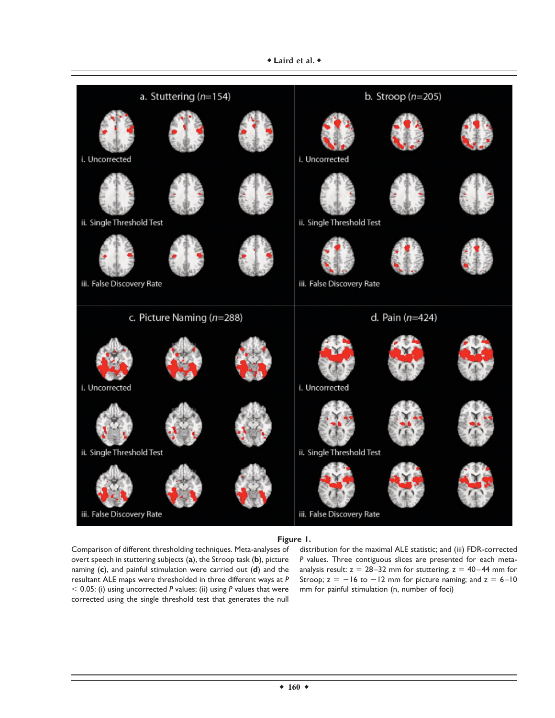

# **Figure 1.**

Comparison of different thresholding techniques. Meta-analyses of overt speech in stuttering subjects (**a**), the Stroop task (**b**), picture naming (**c**), and painful stimulation were carried out (**d**) and the resultant ALE maps were thresholded in three different ways at *P* \* 0.05: (i) using uncorrected *P* values; (ii) using *P* values that were corrected using the single threshold test that generates the null

distribution for the maximal ALE statistic; and (iii) FDR-corrected *P* values. Three contiguous slices are presented for each metaanalysis result:  $z = 28-32$  mm for stuttering;  $z = 40-44$  mm for Stroop;  $z = -16$  to  $-12$  mm for picture naming; and  $z = 6-10$ mm for painful stimulation (n, number of foci)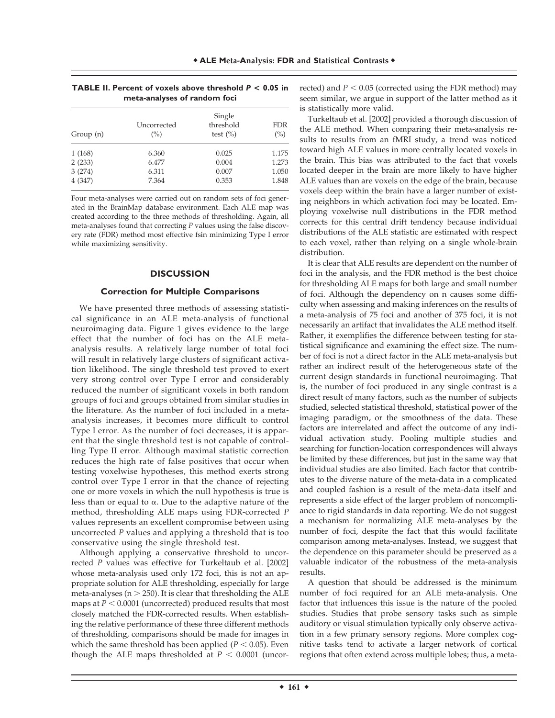| <b>TABLE II.</b> Percent of voxels above threshold $P < 0.05$ in |  |  |  |  |  |  |
|------------------------------------------------------------------|--|--|--|--|--|--|
| meta-analyses of random foci                                     |  |  |  |  |  |  |

| Group $(n)$ | Uncorrected<br>(%) | Single<br>threshold<br>test $(\% )$ | <b>FDR</b><br>(%) |
|-------------|--------------------|-------------------------------------|-------------------|
| 1(168)      | 6.360              | 0.025                               | 1.175             |
| 2(233)      | 6.477              | 0.004                               | 1.273             |
| 3(274)      | 6.311              | 0.007                               | 1.050             |
| 4(347)      | 7.364              | 0.353                               | 1.848             |

Four meta-analyses were carried out on random sets of foci generated in the BrainMap database environment. Each ALE map was created according to the three methods of thresholding. Again, all meta-analyses found that correcting *P* values using the false discovery rate (FDR) method most effective fsin minimizing Type I error while maximizing sensitivity.

## **DISCUSSION**

#### **Correction for Multiple Comparisons**

We have presented three methods of assessing statistical significance in an ALE meta-analysis of functional neuroimaging data. Figure 1 gives evidence to the large effect that the number of foci has on the ALE metaanalysis results. A relatively large number of total foci will result in relatively large clusters of significant activation likelihood. The single threshold test proved to exert very strong control over Type I error and considerably reduced the number of significant voxels in both random groups of foci and groups obtained from similar studies in the literature. As the number of foci included in a metaanalysis increases, it becomes more difficult to control Type I error. As the number of foci decreases, it is apparent that the single threshold test is not capable of controlling Type II error. Although maximal statistic correction reduces the high rate of false positives that occur when testing voxelwise hypotheses, this method exerts strong control over Type I error in that the chance of rejecting one or more voxels in which the null hypothesis is true is less than or equal to  $\alpha$ . Due to the adaptive nature of the method, thresholding ALE maps using FDR-corrected *P* values represents an excellent compromise between using uncorrected *P* values and applying a threshold that is too conservative using the single threshold test.

Although applying a conservative threshold to uncorrected *P* values was effective for Turkeltaub et al. [2002] whose meta-analysis used only 172 foci, this is not an appropriate solution for ALE thresholding, especially for large meta-analyses ( $n > 250$ ). It is clear that thresholding the ALE maps at  $P < 0.0001$  (uncorrected) produced results that most closely matched the FDR-corrected results. When establishing the relative performance of these three different methods of thresholding, comparisons should be made for images in which the same threshold has been applied ( $P < 0.05$ ). Even though the ALE maps thresholded at  $P < 0.0001$  (uncorrected) and  $P < 0.05$  (corrected using the FDR method) may seem similar, we argue in support of the latter method as it is statistically more valid.

Turkeltaub et al. [2002] provided a thorough discussion of the ALE method. When comparing their meta-analysis results to results from an fMRI study, a trend was noticed toward high ALE values in more centrally located voxels in the brain. This bias was attributed to the fact that voxels located deeper in the brain are more likely to have higher ALE values than are voxels on the edge of the brain, because voxels deep within the brain have a larger number of existing neighbors in which activation foci may be located. Employing voxelwise null distributions in the FDR method corrects for this central drift tendency because individual distributions of the ALE statistic are estimated with respect to each voxel, rather than relying on a single whole-brain distribution.

It is clear that ALE results are dependent on the number of foci in the analysis, and the FDR method is the best choice for thresholding ALE maps for both large and small number of foci. Although the dependency on n causes some difficulty when assessing and making inferences on the results of a meta-analysis of 75 foci and another of 375 foci, it is not necessarily an artifact that invalidates the ALE method itself. Rather, it exemplifies the difference between testing for statistical significance and examining the effect size. The number of foci is not a direct factor in the ALE meta-analysis but rather an indirect result of the heterogeneous state of the current design standards in functional neuroimaging. That is, the number of foci produced in any single contrast is a direct result of many factors, such as the number of subjects studied, selected statistical threshold, statistical power of the imaging paradigm, or the smoothness of the data. These factors are interrelated and affect the outcome of any individual activation study. Pooling multiple studies and searching for function-location correspondences will always be limited by these differences, but just in the same way that individual studies are also limited. Each factor that contributes to the diverse nature of the meta-data in a complicated and coupled fashion is a result of the meta-data itself and represents a side effect of the larger problem of noncompliance to rigid standards in data reporting. We do not suggest a mechanism for normalizing ALE meta-analyses by the number of foci, despite the fact that this would facilitate comparison among meta-analyses. Instead, we suggest that the dependence on this parameter should be preserved as a valuable indicator of the robustness of the meta-analysis results.

A question that should be addressed is the minimum number of foci required for an ALE meta-analysis. One factor that influences this issue is the nature of the pooled studies. Studies that probe sensory tasks such as simple auditory or visual stimulation typically only observe activation in a few primary sensory regions. More complex cognitive tasks tend to activate a larger network of cortical regions that often extend across multiple lobes; thus, a meta-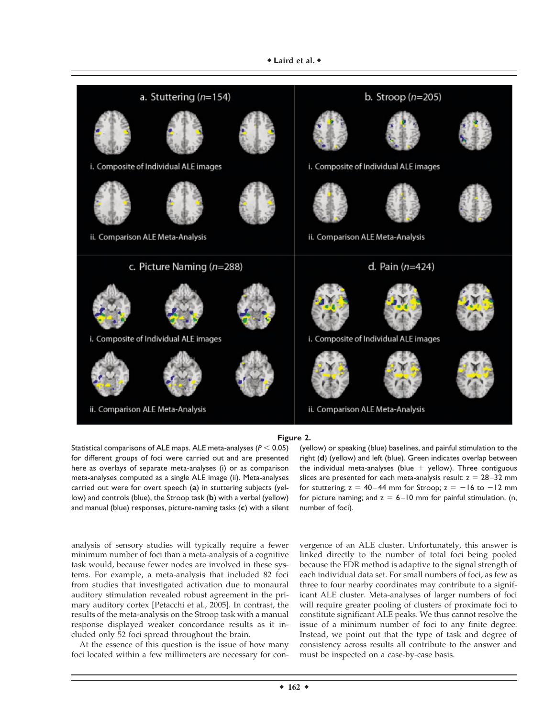

#### **Figure 2.**

Statistical comparisons of ALE maps. ALE meta-analyses ( $P < 0.05$ ) for different groups of foci were carried out and are presented here as overlays of separate meta-analyses (i) or as comparison meta-analyses computed as a single ALE image (ii). Meta-analyses carried out were for overt speech (**a**) in stuttering subjects (yellow) and controls (blue), the Stroop task (**b**) with a verbal (yellow) and manual (blue) responses, picture-naming tasks (**c**) with a silent (yellow) or speaking (blue) baselines, and painful stimulation to the right (**d**) (yellow) and left (blue). Green indicates overlap between the individual meta-analyses (blue  $+$  yellow). Three contiguous slices are presented for each meta-analysis result:  $z = 28-32$  mm for stuttering;  $z = 40-44$  mm for Stroop;  $z = -16$  to  $-12$  mm for picture naming; and  $z = 6-10$  mm for painful stimulation. (n, number of foci).

analysis of sensory studies will typically require a fewer minimum number of foci than a meta-analysis of a cognitive task would, because fewer nodes are involved in these systems. For example, a meta-analysis that included 82 foci from studies that investigated activation due to monaural auditory stimulation revealed robust agreement in the primary auditory cortex [Petacchi et al., 2005]. In contrast, the results of the meta-analysis on the Stroop task with a manual response displayed weaker concordance results as it included only 52 foci spread throughout the brain.

At the essence of this question is the issue of how many foci located within a few millimeters are necessary for convergence of an ALE cluster. Unfortunately, this answer is linked directly to the number of total foci being pooled because the FDR method is adaptive to the signal strength of each individual data set. For small numbers of foci, as few as three to four nearby coordinates may contribute to a significant ALE cluster. Meta-analyses of larger numbers of foci will require greater pooling of clusters of proximate foci to constitute significant ALE peaks. We thus cannot resolve the issue of a minimum number of foci to any finite degree. Instead, we point out that the type of task and degree of consistency across results all contribute to the answer and must be inspected on a case-by-case basis.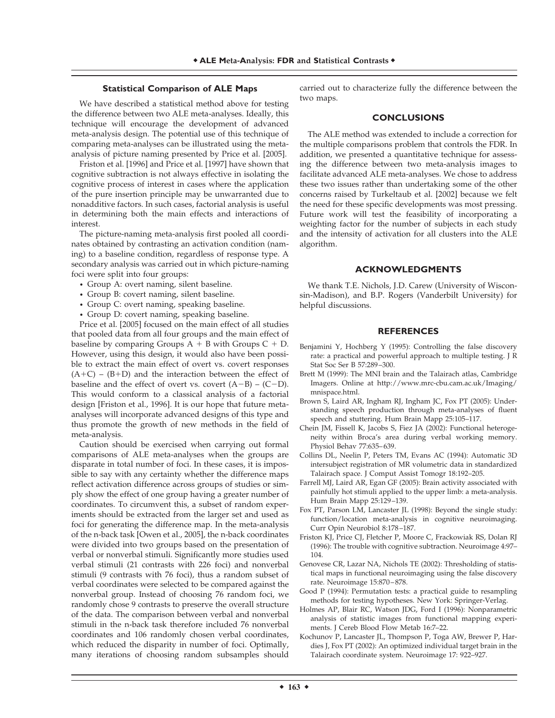# **Statistical Comparison of ALE Maps**

We have described a statistical method above for testing the difference between two ALE meta-analyses. Ideally, this technique will encourage the development of advanced meta-analysis design. The potential use of this technique of comparing meta-analyses can be illustrated using the metaanalysis of picture naming presented by Price et al. [2005].

Friston et al. [1996] and Price et al. [1997] have shown that cognitive subtraction is not always effective in isolating the cognitive process of interest in cases where the application of the pure insertion principle may be unwarranted due to nonadditive factors. In such cases, factorial analysis is useful in determining both the main effects and interactions of interest.

The picture-naming meta-analysis first pooled all coordinates obtained by contrasting an activation condition (naming) to a baseline condition, regardless of response type. A secondary analysis was carried out in which picture-naming foci were split into four groups:

- Group A: overt naming, silent baseline.
- Group B: covert naming, silent baseline.
- Group C: overt naming, speaking baseline.
- Group D: covert naming, speaking baseline.

Price et al. [2005] focused on the main effect of all studies that pooled data from all four groups and the main effect of baseline by comparing Groups  $A + B$  with Groups  $C + D$ . However, using this design, it would also have been possible to extract the main effect of overt vs. covert responses  $(A+C)$  –  $(B+D)$  and the interaction between the effect of baseline and the effect of overt vs. covert  $(A-B) - (C-D)$ . This would conform to a classical analysis of a factorial design [Friston et al., 1996]. It is our hope that future metaanalyses will incorporate advanced designs of this type and thus promote the growth of new methods in the field of meta-analysis.

Caution should be exercised when carrying out formal comparisons of ALE meta-analyses when the groups are disparate in total number of foci. In these cases, it is impossible to say with any certainty whether the difference maps reflect activation difference across groups of studies or simply show the effect of one group having a greater number of coordinates. To circumvent this, a subset of random experiments should be extracted from the larger set and used as foci for generating the difference map. In the meta-analysis of the n-back task [Owen et al., 2005], the n-back coordinates were divided into two groups based on the presentation of verbal or nonverbal stimuli. Significantly more studies used verbal stimuli (21 contrasts with 226 foci) and nonverbal stimuli (9 contrasts with 76 foci), thus a random subset of verbal coordinates were selected to be compared against the nonverbal group. Instead of choosing 76 random foci, we randomly chose 9 contrasts to preserve the overall structure of the data. The comparison between verbal and nonverbal stimuli in the n-back task therefore included 76 nonverbal coordinates and 106 randomly chosen verbal coordinates, which reduced the disparity in number of foci. Optimally, many iterations of choosing random subsamples should

carried out to characterize fully the difference between the two maps.

#### **CONCLUSIONS**

The ALE method was extended to include a correction for the multiple comparisons problem that controls the FDR. In addition, we presented a quantitative technique for assessing the difference between two meta-analysis images to facilitate advanced ALE meta-analyses. We chose to address these two issues rather than undertaking some of the other concerns raised by Turkeltaub et al. [2002] because we felt the need for these specific developments was most pressing. Future work will test the feasibility of incorporating a weighting factor for the number of subjects in each study and the intensity of activation for all clusters into the ALE algorithm.

# **ACKNOWLEDGMENTS**

We thank T.E. Nichols, J.D. Carew (University of Wisconsin-Madison), and B.P. Rogers (Vanderbilt University) for helpful discussions.

#### **REFERENCES**

- Benjamini Y, Hochberg Y (1995): Controlling the false discovery rate: a practical and powerful approach to multiple testing. J R Stat Soc Ser B 57:289–300.
- Brett M (1999): The MNI brain and the Talairach atlas, Cambridge Imagers. Online at http://www.mrc-cbu.cam.ac.uk/Imaging/ mnispace.html.
- Brown S, Laird AR, Ingham RJ, Ingham JC, Fox PT (2005): Understanding speech production through meta-analyses of fluent speech and stuttering. Hum Brain Mapp 25:105–117.
- Chein JM, Fissell K, Jacobs S, Fiez JA (2002): Functional heterogeneity within Broca's area during verbal working memory. Physiol Behav 77:635–639.
- Collins DL, Neelin P, Peters TM, Evans AC (1994): Automatic 3D intersubject registration of MR volumetric data in standardized Talairach space. J Comput Assist Tomogr 18:192–205.
- Farrell MJ, Laird AR, Egan GF (2005): Brain activity associated with painfully hot stimuli applied to the upper limb: a meta-analysis. Hum Brain Mapp 25:129–139.
- Fox PT, Parson LM, Lancaster JL (1998): Beyond the single study: function/location meta-analysis in cognitive neuroimaging. Curr Opin Neurobiol 8:178–187.
- Friston KJ, Price CJ, Fletcher P, Moore C, Frackowiak RS, Dolan RJ (1996): The trouble with cognitive subtraction. Neuroimage 4:97– 104.
- Genovese CR, Lazar NA, Nichols TE (2002): Thresholding of statistical maps in functional neuroimaging using the false discovery rate. Neuroimage 15:870–878.
- Good P (1994): Permutation tests: a practical guide to resampling methods for testing hypotheses. New York: Springer-Verlag.
- Holmes AP, Blair RC, Watson JDG, Ford I (1996): Nonparametric analysis of statistic images from functional mapping experiments. J Cereb Blood Flow Metab 16:7–22.
- Kochunov P, Lancaster JL, Thompson P, Toga AW, Brewer P, Hardies J, Fox PT (2002): An optimized individual target brain in the Talairach coordinate system. Neuroimage 17: 922–927.